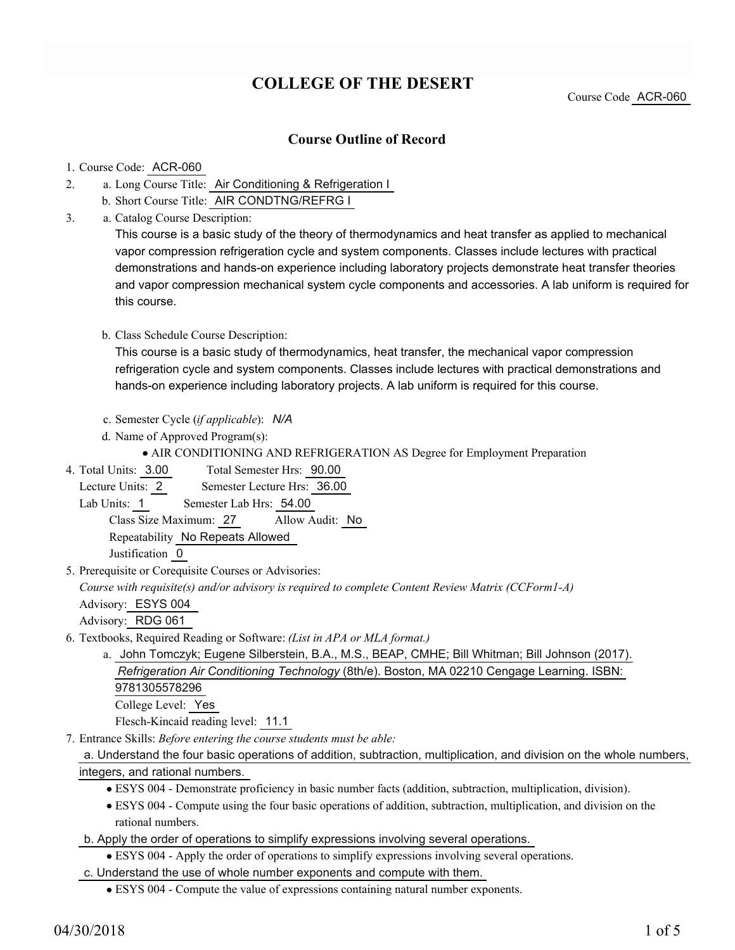# **COLLEGE OF THE DESERT**

Course Code ACR-060

### **Course Outline of Record**

#### 1. Course Code: ACR-060

- a. Long Course Title: Air Conditioning & Refrigeration I 2.
	- b. Short Course Title: AIR CONDTNG/REFRG I
- Catalog Course Description: a. 3.

This course is a basic study of the theory of thermodynamics and heat transfer as applied to mechanical vapor compression refrigeration cycle and system components. Classes include lectures with practical demonstrations and hands-on experience including laboratory projects demonstrate heat transfer theories and vapor compression mechanical system cycle components and accessories. A lab uniform is required for this course.

#### b. Class Schedule Course Description:

This course is a basic study of thermodynamics, heat transfer, the mechanical vapor compression refrigeration cycle and system components. Classes include lectures with practical demonstrations and hands-on experience including laboratory projects. A lab uniform is required for this course.

- c. Semester Cycle (*if applicable*): *N/A*
- d. Name of Approved Program(s):
	- AIR CONDITIONING AND REFRIGERATION AS Degree for Employment Preparation
- Total Semester Hrs: 90.00 4. Total Units: 3.00

Lecture Units: 2 Semester Lecture Hrs: 36.00

Lab Units: 1 Semester Lab Hrs: 54.00 Class Size Maximum: 27 Allow Audit: No

Repeatability No Repeats Allowed

Justification 0

5. Prerequisite or Corequisite Courses or Advisories:

*Course with requisite(s) and/or advisory is required to complete Content Review Matrix (CCForm1-A)*

Advisory: ESYS 004

Advisory: RDG 061

- Textbooks, Required Reading or Software: *(List in APA or MLA format.)* 6.
	- a. John Tomczyk; Eugene Silberstein, B.A., M.S., BEAP, CMHE; Bill Whitman; Bill Johnson (2017). *Refrigeration Air Conditioning Technology* (8th/e). Boston, MA 02210 Cengage Learning. ISBN: 9781305578296 College Level: Yes

Flesch-Kincaid reading level: 11.1

Entrance Skills: *Before entering the course students must be able:* 7.

#### a. Understand the four basic operations of addition, subtraction, multiplication, and division on the whole numbers, integers, and rational numbers.

- ESYS 004 Demonstrate proficiency in basic number facts (addition, subtraction, multiplication, division).
- ESYS 004 Compute using the four basic operations of addition, subtraction, multiplication, and division on the rational numbers.
- b. Apply the order of operations to simplify expressions involving several operations.
	- ESYS 004 Apply the order of operations to simplify expressions involving several operations.
- c. Understand the use of whole number exponents and compute with them.
	- ESYS 004 Compute the value of expressions containing natural number exponents.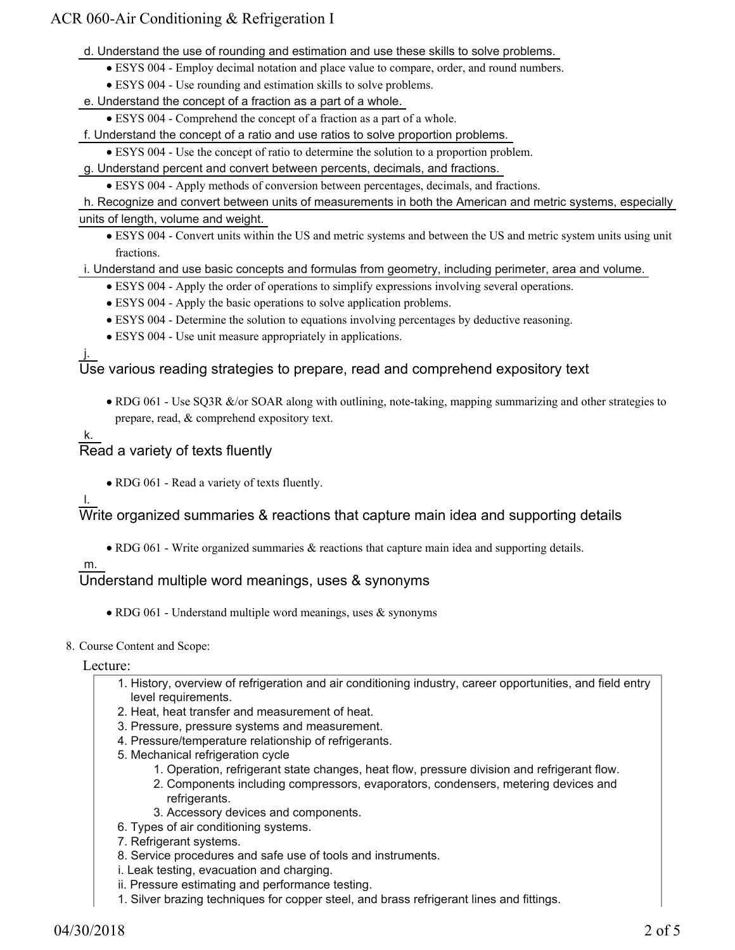## ACR 060-Air Conditioning & Refrigeration I

d. Understand the use of rounding and estimation and use these skills to solve problems.

- ESYS 004 Employ decimal notation and place value to compare, order, and round numbers.
- ESYS 004 Use rounding and estimation skills to solve problems.
- e. Understand the concept of a fraction as a part of a whole.

ESYS 004 - Comprehend the concept of a fraction as a part of a whole.

f. Understand the concept of a ratio and use ratios to solve proportion problems.

ESYS 004 - Use the concept of ratio to determine the solution to a proportion problem.

g. Understand percent and convert between percents, decimals, and fractions.

ESYS 004 - Apply methods of conversion between percentages, decimals, and fractions.

h. Recognize and convert between units of measurements in both the American and metric systems, especially units of length, volume and weight.

ESYS 004 - Convert units within the US and metric systems and between the US and metric system units using unit fractions.

#### i. Understand and use basic concepts and formulas from geometry, including perimeter, area and volume.

- ESYS 004 Apply the order of operations to simplify expressions involving several operations.
- ESYS 004 Apply the basic operations to solve application problems.
- ESYS 004 Determine the solution to equations involving percentages by deductive reasoning.
- ESYS 004 Use unit measure appropriately in applications.

#### j. Use various reading strategies to prepare, read and comprehend expository text

• RDG 061 - Use SQ3R &/or SOAR along with outlining, note-taking, mapping summarizing and other strategies to prepare, read, & comprehend expository text.

## k. Read a variety of texts fluently

• RDG 061 - Read a variety of texts fluently.

#### l.

Write organized summaries & reactions that capture main idea and supporting details

RDG 061 - Write organized summaries & reactions that capture main idea and supporting details.

### m.

## Understand multiple word meanings, uses & synonyms

RDG 061 - Understand multiple word meanings, uses & synonyms

#### 8. Course Content and Scope:

Lecture:

- 1. History, overview of refrigeration and air conditioning industry, career opportunities, and field entry level requirements.
- 2. Heat, heat transfer and measurement of heat.
- 3. Pressure, pressure systems and measurement.
- 4. Pressure/temperature relationship of refrigerants.
- 5. Mechanical refrigeration cycle
	- 1. Operation, refrigerant state changes, heat flow, pressure division and refrigerant flow.
	- 2. Components including compressors, evaporators, condensers, metering devices and refrigerants.
	- 3. Accessory devices and components.
- 6. Types of air conditioning systems.
- 7. Refrigerant systems.
- 8. Service procedures and safe use of tools and instruments.
- i. Leak testing, evacuation and charging.
- ii. Pressure estimating and performance testing.
- 1. Silver brazing techniques for copper steel, and brass refrigerant lines and fittings.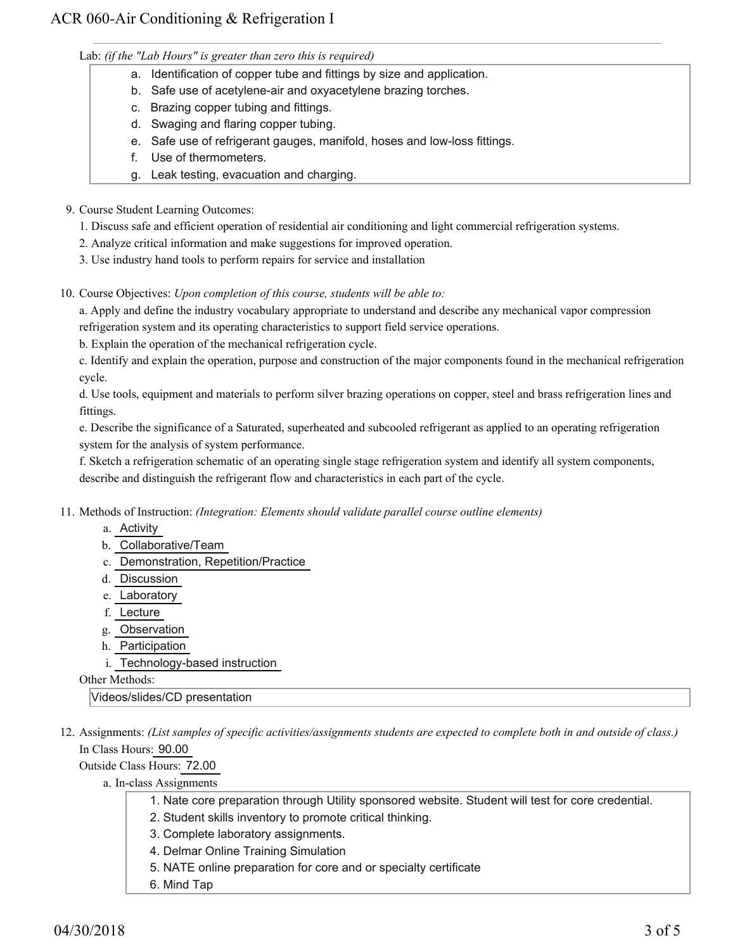Lab: *(if the "Lab Hours" is greater than zero this is required)*

- a. Identification of copper tube and fittings by size and application.
- b. Safe use of acetylene-air and oxyacetylene brazing torches.
- c. Brazing copper tubing and fittings.
- d. Swaging and flaring copper tubing.
- e. Safe use of refrigerant gauges, manifold, hoses and low-loss fittings.
- f. Use of thermometers.
- g. Leak testing, evacuation and charging.
- 9. Course Student Learning Outcomes:
	- 1. Discuss safe and efficient operation of residential air conditioning and light commercial refrigeration systems.
	- 2. Analyze critical information and make suggestions for improved operation.
	- 3. Use industry hand tools to perform repairs for service and installation
- 10. Course Objectives: Upon completion of this course, students will be able to:

a. Apply and define the industry vocabulary appropriate to understand and describe any mechanical vapor compression refrigeration system and its operating characteristics to support field service operations.

b. Explain the operation of the mechanical refrigeration cycle.

c. Identify and explain the operation, purpose and construction of the major components found in the mechanical refrigeration cycle.

d. Use tools, equipment and materials to perform silver brazing operations on copper, steel and brass refrigeration lines and fittings.

e. Describe the significance of a Saturated, superheated and subcooled refrigerant as applied to an operating refrigeration system for the analysis of system performance.

f. Sketch a refrigeration schematic of an operating single stage refrigeration system and identify all system components, describe and distinguish the refrigerant flow and characteristics in each part of the cycle.

- 11. Methods of Instruction: *(Integration: Elements should validate parallel course outline elements)* 
	- a. Activity
	- b. Collaborative/Team
	- c. Demonstration, Repetition/Practice
	- d. Discussion
	- e. Laboratory
	- f. Lecture
	- g. Observation
	- h. Participation
	- i. Technology-based instruction

Other Methods:

Videos/slides/CD presentation

12. Assignments: (List samples of specific activities/assignments students are expected to complete both in and outside of class.) In Class Hours: 90.00

Outside Class Hours: 72.00

- a. In-class Assignments
	- 1. Nate core preparation through Utility sponsored website. Student will test for core credential.
	- 2. Student skills inventory to promote critical thinking.
	- 3. Complete laboratory assignments.
	- 4. Delmar Online Training Simulation
	- 5. NATE online preparation for core and or specialty certificate
	- 6. Mind Tap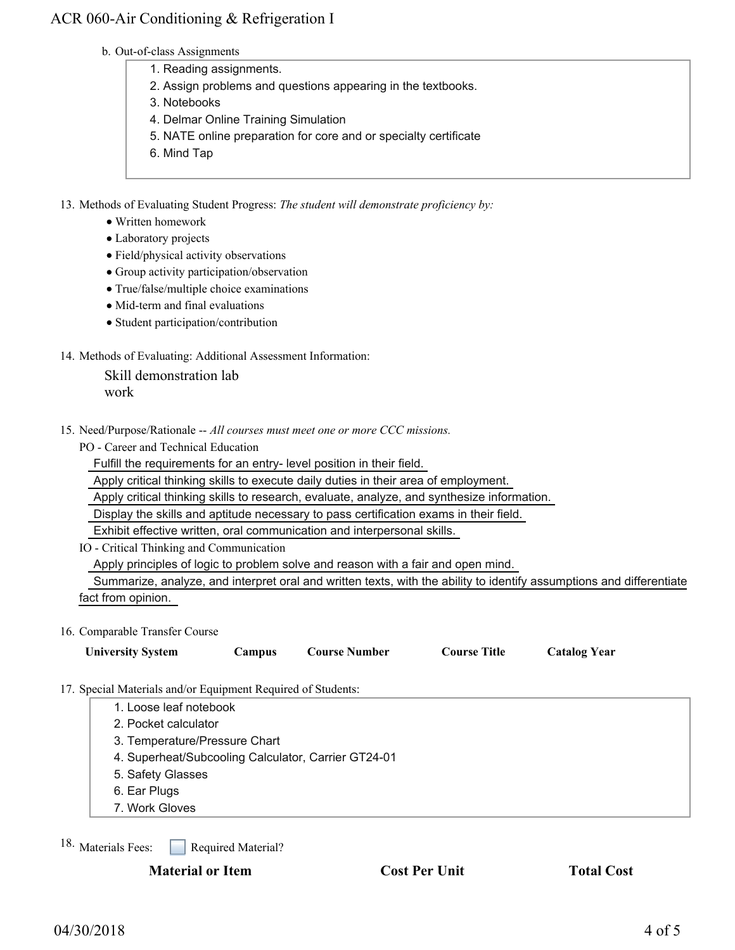## ACR 060-Air Conditioning & Refrigeration I

#### b. Out-of-class Assignments

- 1. Reading assignments.
- 2. Assign problems and questions appearing in the textbooks.
- 3. Notebooks
- 4. Delmar Online Training Simulation
- 5. NATE online preparation for core and or specialty certificate
- 6. Mind Tap

13. Methods of Evaluating Student Progress: The student will demonstrate proficiency by:

- Written homework
- Laboratory projects
- Field/physical activity observations
- Group activity participation/observation
- True/false/multiple choice examinations
- Mid-term and final evaluations
- Student participation/contribution

#### 14. Methods of Evaluating: Additional Assessment Information:

Skill demonstration lab work

15. Need/Purpose/Rationale -- All courses must meet one or more CCC missions.

PO - Career and Technical Education

Fulfill the requirements for an entry- level position in their field.

Apply critical thinking skills to execute daily duties in their area of employment.

Apply critical thinking skills to research, evaluate, analyze, and synthesize information.

Display the skills and aptitude necessary to pass certification exams in their field.

Exhibit effective written, oral communication and interpersonal skills.

IO - Critical Thinking and Communication

Apply principles of logic to problem solve and reason with a fair and open mind.

 Summarize, analyze, and interpret oral and written texts, with the ability to identify assumptions and differentiate fact from opinion.

#### 16. Comparable Transfer Course

|                                                             | <b>University System</b>                            | Campus | <b>Course Number</b> | <b>Course Title</b> | <b>Catalog Year</b> |  |
|-------------------------------------------------------------|-----------------------------------------------------|--------|----------------------|---------------------|---------------------|--|
| 7. Special Materials and/or Equipment Required of Students: |                                                     |        |                      |                     |                     |  |
|                                                             | 1. Loose leaf notebook                              |        |                      |                     |                     |  |
|                                                             | 2. Pocket calculator                                |        |                      |                     |                     |  |
|                                                             | 3. Temperature/Pressure Chart                       |        |                      |                     |                     |  |
|                                                             | 4. Superheat/Subcooling Calculator, Carrier GT24-01 |        |                      |                     |                     |  |
|                                                             | 5. Safety Glasses                                   |        |                      |                     |                     |  |
|                                                             | 6. Ear Plugs                                        |        |                      |                     |                     |  |

7. Work Gloves

Required Material? 18. Materials Fees:

17.